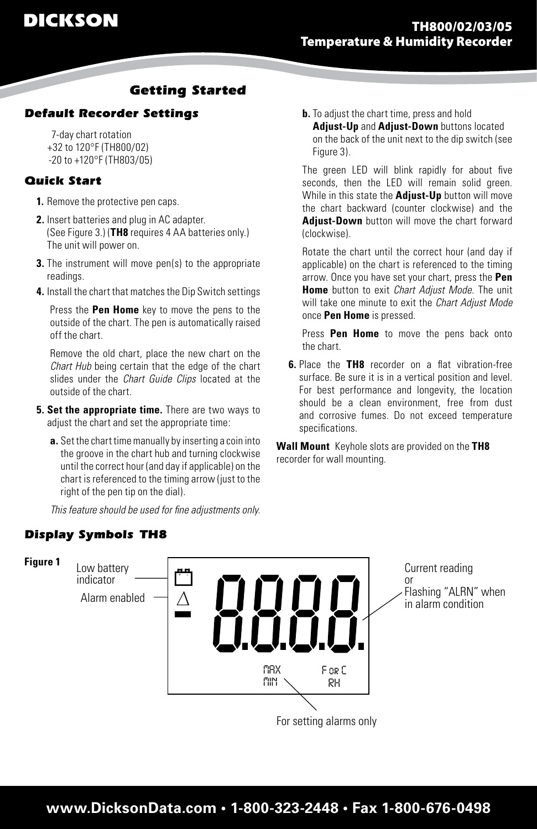# *Getting Started*

## *Default Recorder Settings*

 7-day chart rotation +32 to 120°F (TH800/02) -20 to +120°F (TH803/05)

### *Quick Start*

- **1.** Remove the protective pen caps.
- **2.** Insert batteries and plug in AC adapter. (See Figure 3.) (**TH8** requires 4 AA batteries only.) The unit will power on.
- **3.** The instrument will move pen(s) to the appropriate readings.
- **4.** Install the chart that matches the Dip Switch settings

Press the **Pen Home** key to move the pens to the outside of the chart. The pen is automatically raised off the chart.

Remove the old chart, place the new chart on the *Chart Hub* being certain that the edge of the chart slides under the *Chart Guide Clips* located at the outside of the chart.

- **5. Set the appropriate time.** There are two ways to adjust the chart and set the appropriate time:
	- **a.** Set the chart time manually by inserting a coin into the groove in the chart hub and turning clockwise until the correct hour (and day if applicable) on the chart is referenced to the timing arrow (just to the right of the pen tip on the dial).

*This feature should be used for fine adjustments only.* 

## *Display Symbols TH8*

**b.** To adjust the chart time, press and hold **Adjust-Up** and **Adjust-Down** buttons located on the back of the unit next to the dip switch (see Figure 3).

The green LED will blink rapidly for about five seconds, then the LED will remain solid green. While in this state the **Adjust-Up** button will move the chart backward (counter clockwise) and the **Adjust-Down** button will move the chart forward (clockwise).

Rotate the chart until the correct hour (and day if applicable) on the chart is referenced to the timing arrow. Once you have set your chart, press the **Pen Home** button to exit *Chart Adjust Mode*. The unit will take one minute to exit the *Chart Adjust Mode*  once **Pen Home** is pressed.

Press **Pen Home** to move the pens back onto the chart.

**6.** Place the TH8 recorder on a flat vibration-free surface. Be sure it is in a vertical position and level. For best performance and longevity, the location should be a clean environment, free from dust and corrosive fumes. Do not exceed temperature specifications.

**Wall Mount** Keyhole slots are provided on the **TH8** recorder for wall mounting.

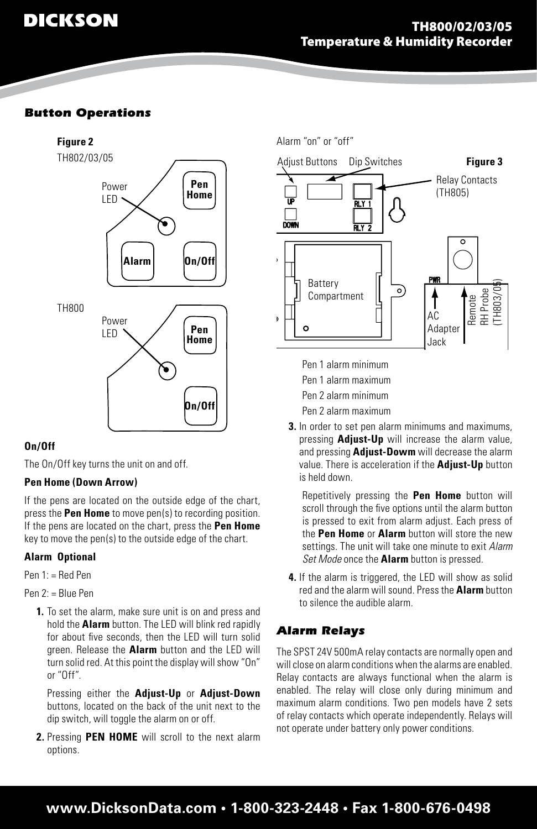## *Button Operations*



## **On/Off**

The On/Off key turns the unit on and off.

## **Pen Home (Down Arrow)**

If the pens are located on the outside edge of the chart, press the **Pen Home** to move pen(s) to recording position. If the pens are located on the chart, press the **Pen Home** key to move the pen(s) to the outside edge of the chart.

## **Alarm Optional**

Pen 1: = Red Pen

Pen 2: = Blue Pen

**1.** To set the alarm, make sure unit is on and press and hold the **Alarm** button. The LED will blink red rapidly for about five seconds, then the LED will turn solid green. Release the **Alarm** button and the LED will turn solid red. At this point the display will show "On" or "Off".

 Pressing either the **Adjust-Up** or **Adjust-Down** buttons, located on the back of the unit next to the dip switch, will toggle the alarm on or off.

**2.** Pressing **PEN HOME** will scroll to the next alarm options.

Adjust Buttons Dip Switches **Figure 3** Relay Contacts (TH805) DOWN Battery Remote<br>RH Probe<br>(TH803/0**5**)  $\circ$ Compartment î AC. à Adapter o Jack

> Pen 1 alarm minimum Pen 1 alarm maximum Pen 2 alarm minimum Pen 2 alarm maximum

Alarm "on" or "off"

**3.** In order to set pen alarm minimums and maximums, pressing **Adjust-Up** will increase the alarm value, and pressing **Adjust-Dowm** will decrease the alarm value. There is acceleration if the **Adjust-Up** button is held down.

Repetitively pressing the **Pen Home** button will scroll through the five options until the alarm button is pressed to exit from alarm adjust. Each press of the **Pen Home** or **Alarm** button will store the new settings. The unit will take one minute to exit *Alarm Set Mode* once the **Alarm** button is pressed.

**4.** If the alarm is triggered, the LED will show as solid red and the alarm will sound. Pressthe **Alarm** button to silence the audible alarm.

## *Alarm Relays*

The SPST 24V 500mA relaycontacts are normally open and will close on alarm conditions when the alarms are enabled. Relay contacts are always functional when the alarm is enabled. The relay will close only during minimum and maximum alarm conditions. Two pen models have 2 sets of relay contacts which operate independently. Relays will not operate under battery only power conditions.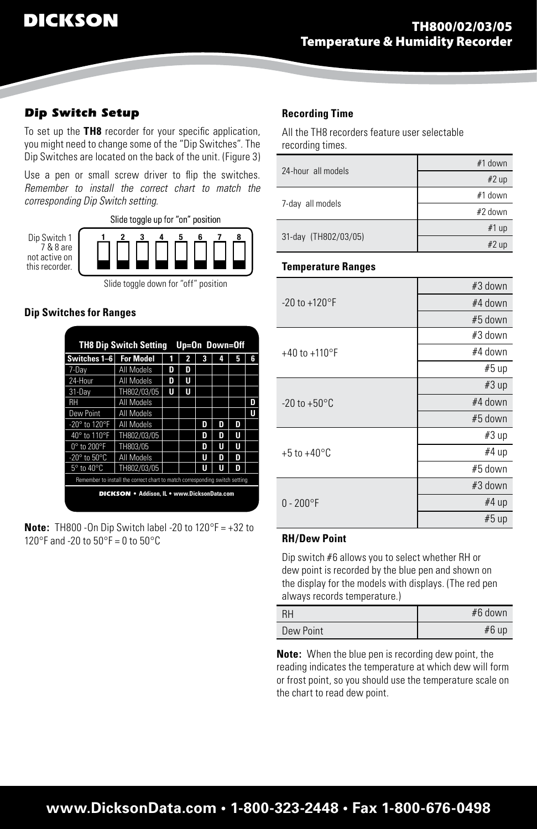## *Dip Switch Setup*

To set up the **TH8** recorder for your specific application, you might need to change some of the "Dip Switches". The Dip Switches are located on the back of the unit. (Figure 3)

Use a pen or small screw driver to flip the switches. *Remember to install the correct chart to match the corresponding Dip Switch setting.*



### **Dip Switches for Ranges**

| <b>TH8 Dip Switch Setting</b><br>Up=On Down=Off                             |                   |   |   |   |   |   |   |
|-----------------------------------------------------------------------------|-------------------|---|---|---|---|---|---|
| Switches 1-6                                                                | <b>For Model</b>  |   |   |   |   |   | ĥ |
| 7-Day                                                                       | All Models        | D | D |   |   |   |   |
| 24-Hour                                                                     | All Models        | D | U |   |   |   |   |
| 31-Dav                                                                      | TH802/03/05       | U | Π |   |   |   |   |
| RH                                                                          | <b>All Models</b> |   |   |   |   |   | D |
| Dew Point                                                                   | All Models        |   |   |   |   |   | U |
| -20° to 120°F                                                               | All Models        |   |   | D | n | n |   |
| 40° to 110°F                                                                | TH802/03/05       |   |   | D | n | Ш |   |
| 0° to 200°F                                                                 | TH803/05          |   |   | D | Ш | Ш |   |
| $-20^\circ$ to $50^\circ$ C                                                 | All Models        |   |   |   | п | n |   |
| $5^\circ$ to 40 $^\circ$ C                                                  | TH802/03/05       |   |   | Ш | Ш | D |   |
| Remember to install the correct chart to match corresponding switch setting |                   |   |   |   |   |   |   |
| <b>DICKSON</b> • Addison, IL • www.DicksonData.com                          |                   |   |   |   |   |   |   |

**Note:** TH800 -On Dip Switch label -20 to 120°F = +32 to 120°F and -20 to  $50^{\circ}$ F = 0 to  $50^{\circ}$ C

#### **Recording Time**

All the TH8 recorders feature user selectable recording times.

| 24-hour all models   | #1 down |
|----------------------|---------|
|                      | #2 up   |
|                      | #1 down |
| 7-day all models     | #2 down |
|                      | #1 up   |
| 31-day (TH802/03/05) | #2 up   |

#### **Temperature Ranges**

|                          | #3 down |
|--------------------------|---------|
| $-20$ to $+120$ °F       | #4 down |
|                          | #5 down |
|                          | #3 down |
| +40 to +110 $\degree$ F  | #4 down |
|                          | #5 up   |
|                          | #3 up   |
| $-20$ to $+50^{\circ}$ C | #4 down |
|                          | #5 down |
|                          | #3 up   |
| +5 to +40 $^{\circ}$ C   | #4 up   |
|                          | #5 down |
|                          | #3 down |
| $0 - 200$ °F             | #4 up   |
|                          | #5 up   |

## **RH/Dew Point**

Dip switch #6 allows you to select whether RH or dew point is recorded by the blue pen and shown on the display for the models with displays. (The red pen always records temperature.)

| RH        | $#6$ down |
|-----------|-----------|
| Dew Point | #6 up     |

**Note:** When the blue pen is recording dew point, the reading indicates the temperature at which dew will form or frost point, so you should use the temperature scale on the chart to read dew point.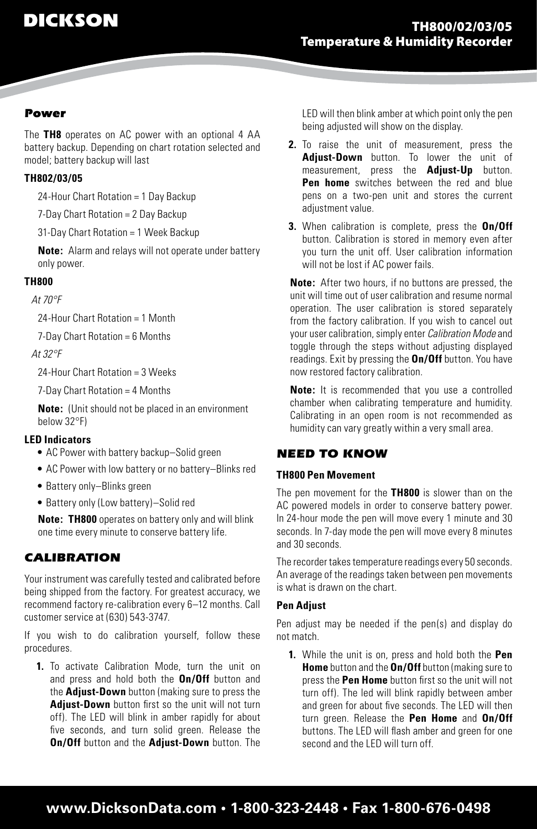### *Power*

The **TH8** operates on AC power with an optional 4 AA battery backup. Depending on chart rotation selected and model; battery backup will last

### **TH802/03/05**

24-Hour Chart Rotation = 1 Day Backup

7-Day Chart Rotation = 2 Day Backup

31-Day Chart Rotation = 1 Week Backup

**Note:** Alarm and relays will not operate under battery only power.

#### **TH800**

*At 70°F* 

24-Hour Chart Rotation = 1 Month

7-Day Chart Rotation = 6 Months

#### *At 32°F*

24-Hour Chart Rotation = 3 Weeks

7-Day Chart Rotation = 4 Months

**Note:** (Unit should not be placed in an environment below 32°F)

#### **LED Indicators**

- AC Power with battery backup–Solid green
- AC Power with low battery or no battery–Blinks red
- Battery only-Blinks green
- Battery only (Low battery)-Solid red

**Note: TH800** operates on battery only and will blink one time every minute to conserve battery life.

## *CALIBRATION*

Your instrument was carefully tested and calibrated before being shipped from the factory. For greatest accuracy, we recommend factory re-calibration every 6–12 months. Call customer service at (630) 543-3747.

If you wish to do calibration yourself, follow these procedures.

**1.** To activate Calibration Mode, turn the unit on and press and hold both the **On/Off** button and the **Adjust-Down** button (making sure to press the **Adjust-Down** button first so the unit will not turn off). The LED will blink in amber rapidly for about five seconds, and turn solid green. Release the **On/Off** button and the **Adjust-Down** button. The

LED will then blink amber at which point only the pen being adjusted will show on the display.

- **2.** To raise the unit of measurement, press the **Adjust-Down** button. To lower the unit of measurement, press the **Adjust-Up** button. **Pen home** switches between the red and blue pens on a two-pen unit and stores the current adjustment value.
- **3.** When calibration is complete, press the **On/Off** button. Calibration is stored in memory even after you turn the unit off. User calibration information will not be lost if AC power fails.

**Note:** After two hours, if no buttons are pressed, the unit will time out of user calibration and resume normal operation. The user calibration is stored separately from the factory calibration. If you wish to cancel out your usercalibration,simply enter *Calibration Mode* and toggle through the steps without adjusting displayed readings. Exit by pressing the **On/Off** button. You have now restored factory calibration.

**Note:** It is recommended that you use a controlled chamber when calibrating temperature and humidity. Calibrating in an open room is not recommended as humidity can vary greatly within a very small area.

## *NEED TO KNOW*

### **TH800 Pen Movement**

The pen movement for the **TH800** is slower than on the AC powered models in order to conserve battery power. In 24-hour mode the pen will move every 1 minute and 30 seconds. In 7-day mode the pen will move every 8 minutes and 30 seconds.

The recorder takes temperature readings every 50 seconds. An average of the readings taken between pen movements is what is drawn on the chart.

### **Pen Adjust**

Pen adjust may be needed if the pen(s) and display do not match.

**1.** While the unit is on, press and hold both the **Pen Home** button and the **On/Off** button (making sure to press the **Pen Home** button first so the unit will not turn off). The led will blink rapidly between amber and green for about five seconds. The LED will then turn green. Release the **Pen Home** and **On/Off** buttons. The LED will flash amber and green for one second and the LED will turn off.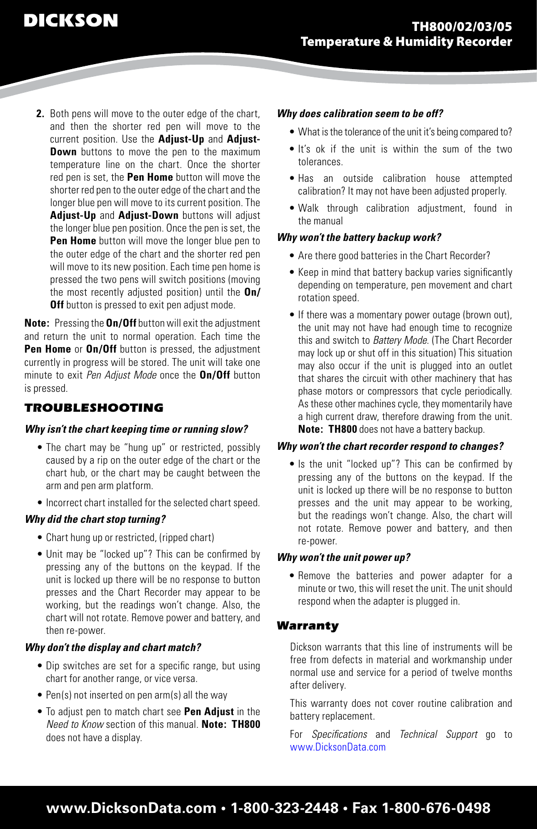**2.** Both pens will move to the outer edge of the chart, and then the shorter red pen will move to the current position. Use the **Adjust-Up** and **Adjust-Down** buttons to move the pen to the maximum temperature line on the chart. Once the shorter red pen is set, the **Pen Home** button will move the shorter red pen to the outer edge of the chart and the longer blue pen will move to its current position. The **Adjust-Up** and **Adjust-Down** buttons will adjust the longer blue pen position. Once the pen is set, the **Pen Home** button will move the longer blue pen to the outer edge of the chart and the shorter red pen will move to its new position. Each time pen home is pressed the two pens will switch positions (moving the most recently adjusted position) until the **On/ Off** button is pressed to exit pen adjust mode.

**Note:** Pressing the **On/Off** button will exit the adjustment and return the unit to normal operation. Each time the **Pen Home** or **On/Off** button is pressed, the adjustment currently in progress will be stored. The unit will take one minute to exit *Pen Adjust Mode* once the **On/Off** button is pressed.

## *TROUBLESHOOTING*

#### *Why isn't the chart keeping time or running slow?*

- The chart may be "hung up" or restricted, possibly caused by a rip on the outer edge of the chart or the chart hub, or the chart may be caught between the arm and pen arm platform.
- Incorrect chart installed for the selected chart speed.

#### *Why did the chart stop turning?*

- Chart hung up or restricted, (ripped chart)
- Unit may be "locked up"? This can be confirmed by pressing any of the buttons on the keypad. If the unit is locked up there will be no response to button presses and the Chart Recorder may appear to be working, but the readings won't change. Also, the chart will not rotate. Remove power and battery, and then re-power.

#### *Why don't the display and chart match?*

- Dip switches are set for a specific range, but using chart for another range, or vice versa.
- Pen(s) not inserted on pen arm(s) all the way
- • To adjust pen to match chart see **Pen Adjust** in the *Need to Know* section of this manual. **Note: TH800** does not have a display.

#### *Why does calibration seem to be off?*

- What is the tolerance of the unit it's being compared to?
- It's ok if the unit is within the sum of the two tolerances.
- • Has an outside calibration house attempted calibration? It may not have been adjusted properly.
- Walk through calibration adjustment, found in the manual

#### *Why won't the battery backup work?*

- Are there good batteries in the Chart Recorder?
- Keep in mind that battery backup varies significantly depending on temperature, pen movement and chart rotation speed.
- If there was a momentary power outage (brown out), the unit may not have had enough time to recognize this and switch to *Battery Mode*. (The Chart Recorder may lock up or shut off in this situation) This situation may also occur if the unit is plugged into an outlet that shares the circuit with other machinery that has phase motors or compressors that cycle periodically. As these other machines cycle, they momentarily have a high current draw, therefore drawing from the unit. **Note: TH800** does not have a battery backup.

#### *Why won't the chart recorder respond to changes?*

• Is the unit "locked up"? This can be confirmed by pressing any of the buttons on the keypad. If the unit is locked up there will be no response to button presses and the unit may appear to be working, but the readings won't change. Also, the chart will not rotate. Remove power and battery, and then re-power.

#### *Why won't the unit power up?*

• Remove the batteries and power adapter for a minute or two, this will reset the unit. The unit should respond when the adapter is plugged in.

#### *Warranty*

Dickson warrants that this line of instruments will be free from defects in material and workmanship under normal use and service for a period of twelve months after delivery.

This warranty does not cover routine calibration and battery replacement.

For *Specifications* and *Technical Support* go to www.DicksonData.com